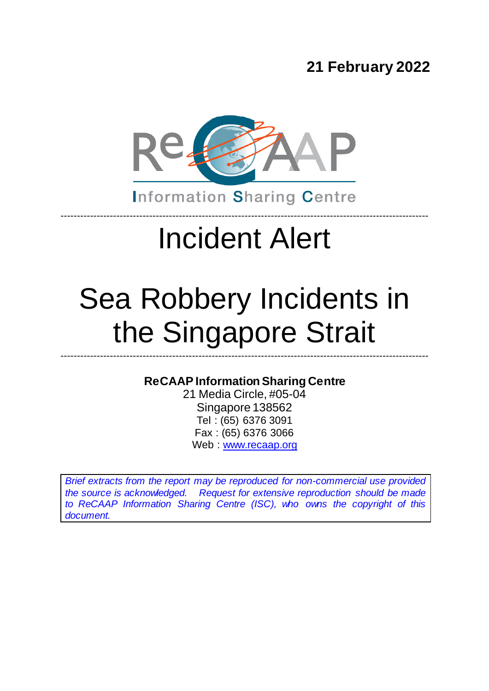**21 February 2022**



**Information Sharing Centre** 

----------------------------------------------------------------------------------------------------------------

# Incident Alert

# Sea Robbery Incidents in the Singapore Strait

### **ReCAAP Information Sharing Centre**

----------------------------------------------------------------------------------------------------------------

21 Media Circle, #05-04 Singapore 138562 Tel : (65) 6376 3091 Fax : (65) 6376 3066 Web [: www.recaap.org](http://www.recaap.org/)

*Brief extracts from the report may be reproduced for non-commercial use provided the source is acknowledged. Request for extensive reproduction should be made to ReCAAP Information Sharing Centre (ISC), who owns the copyright of this document.*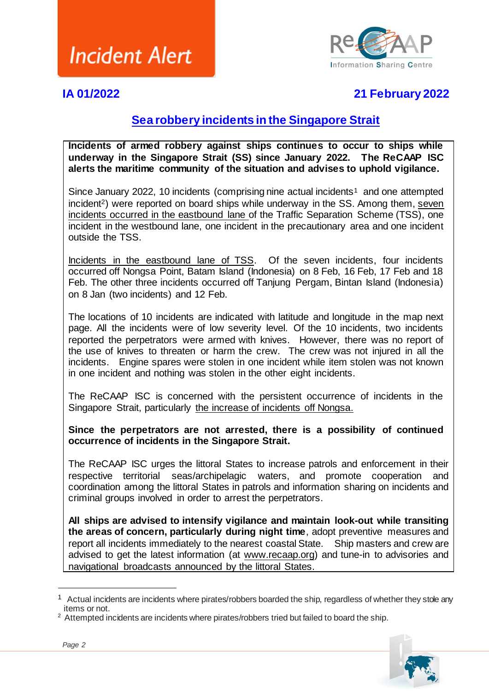

### **IA 01/2022 21 February 2022**

### **Sea robbery incidents in the Singapore Strait**

**Incidents of armed robbery against ships continues to occur to ships while underway in the Singapore Strait (SS) since January 2022. The ReCAAP ISC alerts the maritime community of the situation and advises to uphold vigilance.**

Since January 2022, 10 incidents (comprising nine actual incidents<sup>1</sup> and one attempted incident<sup>2</sup>) were reported on board ships while underway in the SS. Among them, seven incidents occurred in the eastbound lane of the Traffic Separation Scheme (TSS), one incident in the westbound lane, one incident in the precautionary area and one incident outside the TSS.

Incidents in the eastbound lane of TSS. Of the seven incidents, four incidents occurred off Nongsa Point, Batam Island (Indonesia) on 8 Feb, 16 Feb, 17 Feb and 18 Feb. The other three incidents occurred off Tanjung Pergam, Bintan Island (Indonesia) on 8 Jan (two incidents) and 12 Feb.

The locations of 10 incidents are indicated with latitude and longitude in the map next page. All the incidents were of low severity level. Of the 10 incidents, two incidents reported the perpetrators were armed with knives. However, there was no report of the use of knives to threaten or harm the crew. The crew was not injured in all the incidents. Engine spares were stolen in one incident while item stolen was not known in one incident and nothing was stolen in the other eight incidents.

The ReCAAP ISC is concerned with the persistent occurrence of incidents in the Singapore Strait, particularly the increase of incidents off Nongsa.

**Since the perpetrators are not arrested, there is a possibility of continued occurrence of incidents in the Singapore Strait.**

The ReCAAP ISC urges the littoral States to increase patrols and enforcement in their respective territorial seas/archipelagic waters, and promote cooperation and coordination among the littoral States in patrols and information sharing on incidents and criminal groups involved in order to arrest the perpetrators.

**All ships are advised to intensify vigilance and maintain look-out while transiting the areas of concern, particularly during night time**, adopt preventive measures and report all incidents immediately to the nearest coastal State. Ship masters and crew are advised to get the latest information (at [www.recaap.org\)](http://www.recaap.org/) and tune-in to advisories and navigational broadcasts announced by the littoral States.

<sup>&</sup>lt;sup>2</sup> Attempted incidents are incidents where pirates/robbers tried but failed to board the ship.



1

 $1$  Actual incidents are incidents where pirates/robbers boarded the ship, regardless of whether they stole any items or not.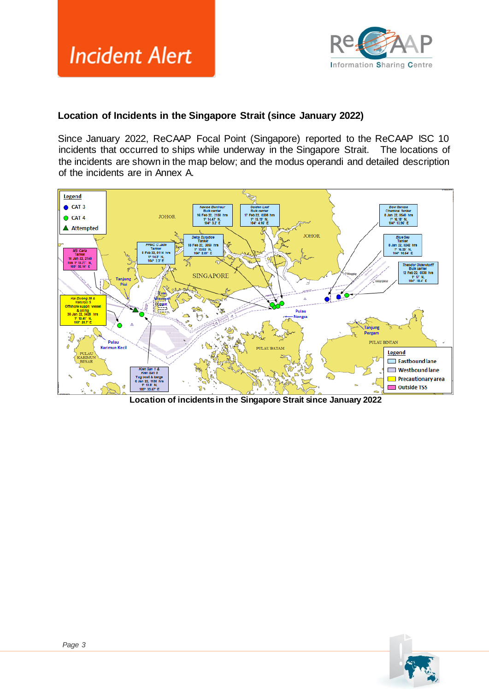

#### **Location of Incidents in the Singapore Strait (since January 2022)**

Since January 2022, ReCAAP Focal Point (Singapore) reported to the ReCAAP ISC 10 incidents that occurred to ships while underway in the Singapore Strait. The locations of the incidents are shown in the map below; and the modus operandi and detailed description of the incidents are in Annex A.



**Location of incidents in the Singapore Strait since January 2022**

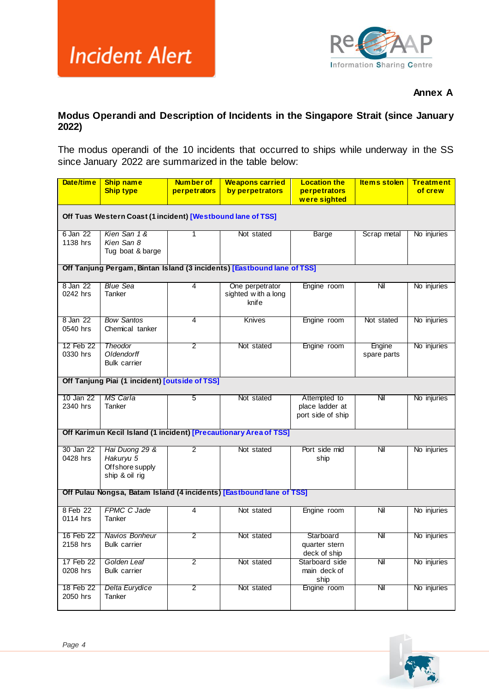

#### **Annex A**

#### **Modus Operandi and Description of Incidents in the Singapore Strait (since January 2022)**

The modus operandi of the 10 incidents that occurred to ships while underway in the SS since January 2022 are summarized in the table below:

| Date/time                                                               | <b>Ship name</b><br><b>Ship type</b>                             | <b>Number of</b><br>perpetrators | <b>Weapons carried</b><br>by perpetrators                         | <b>Location the</b><br>perpetrators                  | <b>Items stolen</b>   | <b>Treatment</b><br>of crew |
|-------------------------------------------------------------------------|------------------------------------------------------------------|----------------------------------|-------------------------------------------------------------------|------------------------------------------------------|-----------------------|-----------------------------|
|                                                                         |                                                                  |                                  |                                                                   | were sighted                                         |                       |                             |
| Off Tuas Western Coast (1 incident) [Westbound lane of TSS]             |                                                                  |                                  |                                                                   |                                                      |                       |                             |
| 6 Jan 22<br>1138 hrs                                                    | Kien San 1 &<br>Kien San 8<br>Tug boat & barge                   | 1                                | Not stated                                                        | Barge                                                | Scrap metal           | No injuries                 |
| Off Tanjung Pergam, Bintan Island (3 incidents) [Eastbound lane of TSS] |                                                                  |                                  |                                                                   |                                                      |                       |                             |
| 8 Jan 22<br>0242 hrs                                                    | <b>Blue Sea</b><br>Tanker                                        | 4                                | One perpetrator<br>sighted with a long<br>knife                   | Engine room                                          | Nil                   | No injuries                 |
| 8 Jan 22<br>0540 hrs                                                    | <b>Bow Santos</b><br>Chemical tanker                             | 4                                | <b>Knives</b>                                                     | Engine room                                          | Not stated            | No injuries                 |
| 12 Feb 22<br>0330 hrs                                                   | <b>Theodor</b><br>Oldendorff<br><b>Bulk carrier</b>              | 2                                | Not stated                                                        | Engine room                                          | Engine<br>spare parts | No injuries                 |
|                                                                         | Off Tanjung Piai (1 incident) [outside of TSS]                   |                                  |                                                                   |                                                      |                       |                             |
| 10 Jan 22<br>2340 hrs                                                   | MS Carla<br>Tanker                                               | 5                                | Not stated                                                        | Attempted to<br>place ladder at<br>port side of ship | Nil                   | No injuries                 |
|                                                                         |                                                                  |                                  | Off Karimun Kecil Island (1 incident) [Precautionary Area of TSS] |                                                      |                       |                             |
| 30 Jan 22<br>0428 hrs                                                   | Hai Duong 29 &<br>Hakuryu 5<br>Offshore supply<br>ship & oil rig | $\overline{2}$                   | Not stated                                                        | Port side mid<br>ship                                | $N$ il                | No injuries                 |
| Off Pulau Nongsa, Batam Island (4 incidents) [Eastbound lane of TSS]    |                                                                  |                                  |                                                                   |                                                      |                       |                             |
| 8 Feb 22<br>0114 hrs                                                    | <b>FPMC C Jade</b><br>Tanker                                     | 4                                | Not stated                                                        | Engine room                                          | Nil                   | No injuries                 |
| 16 Feb 22<br>2158 hrs                                                   | Navios Bonheur<br><b>Bulk carrier</b>                            | 2                                | Not stated                                                        | Starboard<br>quarter stern<br>deck of ship           | Nil                   | No injuries                 |
| 17 Feb 22<br>0208 hrs                                                   | Golden Leaf<br><b>Bulk carrier</b>                               | $\overline{2}$                   | Not stated                                                        | Starboard side<br>main deck of<br>ship               | Nil                   | No injuries                 |
| 18 Feb 22<br>2050 hrs                                                   | Delta Eurydice<br>Tanker                                         | 2                                | Not stated                                                        | Engine room                                          | Nil                   | No injuries                 |

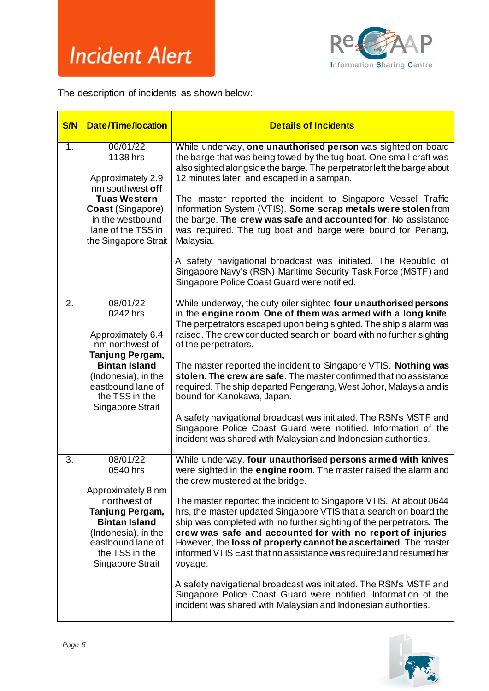

The description of incidents as shown below:

| <b>S/N</b>       | <b>Date/Time/location</b>                                                                                                                                                                 | <b>Details of Incidents</b>                                                                                                                                                                                                                                                                                                                                                                                                                                                                                                                                                                                                                                                                                                                                                                                       |
|------------------|-------------------------------------------------------------------------------------------------------------------------------------------------------------------------------------------|-------------------------------------------------------------------------------------------------------------------------------------------------------------------------------------------------------------------------------------------------------------------------------------------------------------------------------------------------------------------------------------------------------------------------------------------------------------------------------------------------------------------------------------------------------------------------------------------------------------------------------------------------------------------------------------------------------------------------------------------------------------------------------------------------------------------|
| 1.               | 06/01/22<br>1138 hrs<br>Approximately 2.9<br>nm southwest off<br><b>Tuas Western</b><br>Coast (Singapore),<br>in the westbound<br>lane of the TSS in<br>the Singapore Strait              | While underway, one unauthorised person was sighted on board<br>the barge that was being towed by the tug boat. One small craft was<br>also sighted alongside the barge. The perpetrator left the barge about<br>12 minutes later, and escaped in a sampan.<br>The master reported the incident to Singapore Vessel Traffic<br>Information System (VTIS). Some scrap metals were stolen from<br>the barge. The crew was safe and accounted for. No assistance<br>was required. The tug boat and barge were bound for Penang,<br>Malaysia.<br>A safety navigational broadcast was initiated. The Republic of<br>Singapore Navy's (RSN) Maritime Security Task Force (MSTF) and<br>Singapore Police Coast Guard were notified.                                                                                      |
| $\overline{2}$ . | 08/01/22<br>0242 hrs<br>Approximately 6.4<br>nm northwest of<br>Tanjung Pergam,<br><b>Bintan Island</b><br>(Indonesia), in the<br>eastbound lane of<br>the TSS in the<br>Singapore Strait | While underway, the duty oiler sighted four unauthorised persons<br>in the engine room. One of them was armed with a long knife.<br>The perpetrators escaped upon being sighted. The ship's alarm was<br>raised. The crew conducted search on board with no further sighting<br>of the perpetrators.<br>The master reported the incident to Singapore VTIS. Nothing was<br>stolen. The crew are safe. The master confirmed that no assistance<br>required. The ship departed Pengerang, West Johor, Malaysia and is<br>bound for Kanokawa, Japan.<br>A safety navigational broadcast was initiated. The RSN's MSTF and<br>Singapore Police Coast Guard were notified. Information of the<br>incident was shared with Malaysian and Indonesian authorities.                                                        |
| $\overline{3}$ . | 08/01/22<br>0540 hrs<br>Approximately 8 nm<br>northwest of<br>Tanjung Pergam,<br><b>Bintan Island</b><br>(Indonesia), in the<br>eastbound lane of<br>the TSS in the<br>Singapore Strait   | While underway, four unauthorised persons armed with knives<br>were sighted in the engine room. The master raised the alarm and<br>the crew mustered at the bridge.<br>The master reported the incident to Singapore VTIS. At about 0644<br>hrs, the master updated Singapore VTIS that a search on board the<br>ship was completed with no further sighting of the perpetrators. The<br>crew was safe and accounted for with no report of injuries.<br>However, the loss of property cannot be ascertained. The master<br>informed VTIS East that no assistance was required and resumed her<br>voyage.<br>A safety navigational broadcast was initiated. The RSN's MSTF and<br>Singapore Police Coast Guard were notified. Information of the<br>incident was shared with Malaysian and Indonesian authorities. |

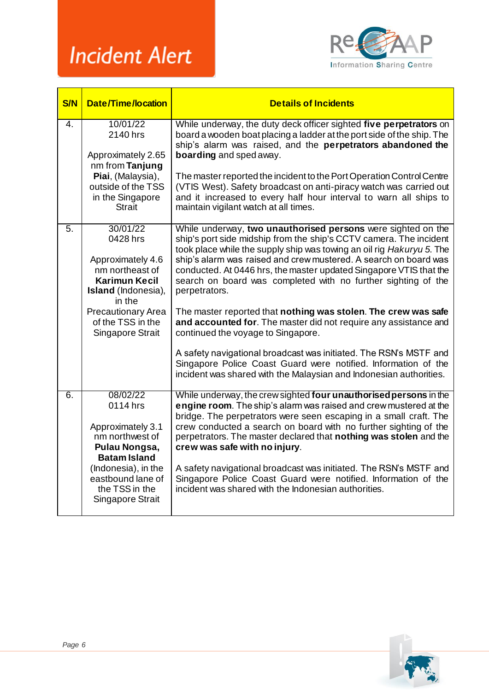

| <b>S/N</b>       | <b>Date/Time/location</b>                                                                                                                                                                          | <b>Details of Incidents</b>                                                                                                                                                                                                                                                                                                                                                                                                                                                                                                                                                                                                                                                                                                                                                                                                      |
|------------------|----------------------------------------------------------------------------------------------------------------------------------------------------------------------------------------------------|----------------------------------------------------------------------------------------------------------------------------------------------------------------------------------------------------------------------------------------------------------------------------------------------------------------------------------------------------------------------------------------------------------------------------------------------------------------------------------------------------------------------------------------------------------------------------------------------------------------------------------------------------------------------------------------------------------------------------------------------------------------------------------------------------------------------------------|
| 4.               | 10/01/22<br>2140 hrs<br>Approximately 2.65<br>nm from Tanjung<br>Piai, (Malaysia),<br>outside of the TSS<br>in the Singapore<br><b>Strait</b>                                                      | While underway, the duty deck officer sighted five perpetrators on<br>board a wooden boat placing a ladder at the port side of the ship. The<br>ship's alarm was raised, and the perpetrators abandoned the<br>boarding and sped away.<br>The master reported the incident to the Port Operation Control Centre<br>(VTIS West). Safety broadcast on anti-piracy watch was carried out<br>and it increased to every half hour interval to warn all ships to<br>maintain vigilant watch at all times.                                                                                                                                                                                                                                                                                                                              |
| 5.               | 30/01/22<br>0428 hrs<br>Approximately 4.6<br>nm northeast of<br><b>Karimun Kecil</b><br><b>Island</b> (Indonesia),<br>in the<br><b>Precautionary Area</b><br>of the TSS in the<br>Singapore Strait | While underway, two unauthorised persons were sighted on the<br>ship's port side midship from the ship's CCTV camera. The incident<br>took place while the supply ship was towing an oil rig Hakuryu 5. The<br>ship's alarm was raised and crew mustered. A search on board was<br>conducted. At 0446 hrs, the master updated Singapore VTIS that the<br>search on board was completed with no further sighting of the<br>perpetrators.<br>The master reported that nothing was stolen. The crew was safe<br>and accounted for. The master did not require any assistance and<br>continued the voyage to Singapore.<br>A safety navigational broadcast was initiated. The RSN's MSTF and<br>Singapore Police Coast Guard were notified. Information of the<br>incident was shared with the Malaysian and Indonesian authorities. |
| $\overline{6}$ . | 08/02/22<br>0114 hrs<br>Approximately 3.1<br>nm northwest of<br>Pulau Nongsa,<br><b>Batam Island</b><br>(Indonesia), in the<br>eastbound lane of<br>the TSS in the<br>Singapore Strait             | While underway, the crew sighted four unauthorised persons in the<br>engine room. The ship's alarm was raised and crew mustered at the<br>bridge. The perpetrators were seen escaping in a small craft. The<br>crew conducted a search on board with no further sighting of the<br>perpetrators. The master declared that nothing was stolen and the<br>crew was safe with no injury.<br>A safety navigational broadcast was initiated. The RSN's MSTF and<br>Singapore Police Coast Guard were notified. Information of the<br>incident was shared with the Indonesian authorities.                                                                                                                                                                                                                                             |

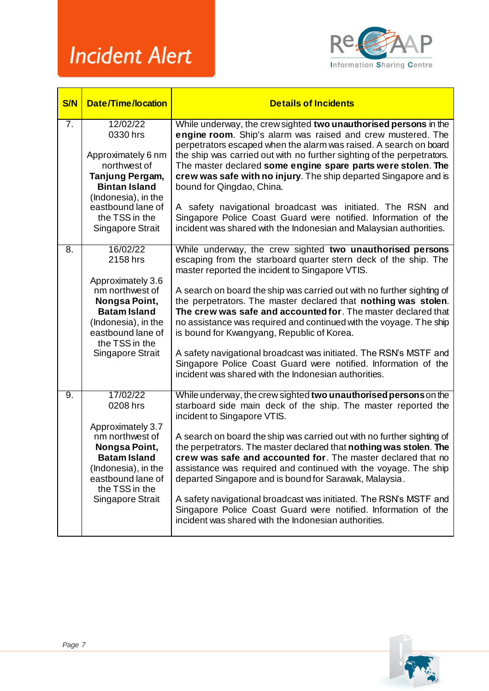

| <b>S/N</b>       | <b>Date/Time/location</b>                                                                                                                                                               | <b>Details of Incidents</b>                                                                                                                                                                                                                                                                                                                                                                                                                                                                                                                                                                                                                                                                                     |
|------------------|-----------------------------------------------------------------------------------------------------------------------------------------------------------------------------------------|-----------------------------------------------------------------------------------------------------------------------------------------------------------------------------------------------------------------------------------------------------------------------------------------------------------------------------------------------------------------------------------------------------------------------------------------------------------------------------------------------------------------------------------------------------------------------------------------------------------------------------------------------------------------------------------------------------------------|
| $\overline{7}$ . | 12/02/22<br>0330 hrs<br>Approximately 6 nm<br>northwest of<br>Tanjung Pergam,<br><b>Bintan Island</b><br>(Indonesia), in the<br>eastbound lane of<br>the TSS in the<br>Singapore Strait | While underway, the crew sighted two unauthorised persons in the<br>engine room. Ship's alarm was raised and crew mustered. The<br>perpetrators escaped when the alarm was raised. A search on board<br>the ship was carried out with no further sighting of the perpetrators.<br>The master declared some engine spare parts were stolen. The<br>crew was safe with no injury. The ship departed Singapore and is<br>bound for Qingdao, China.<br>A safety navigational broadcast was initiated. The RSN and<br>Singapore Police Coast Guard were notified. Information of the<br>incident was shared with the Indonesian and Malaysian authorities.                                                           |
| $\overline{8}$ . | 16/02/22<br>2158 hrs<br>Approximately 3.6<br>nm northwest of<br>Nongsa Point,<br><b>Batam Island</b><br>(Indonesia), in the<br>eastbound lane of<br>the TSS in the<br>Singapore Strait  | While underway, the crew sighted two unauthorised persons<br>escaping from the starboard quarter stern deck of the ship. The<br>master reported the incident to Singapore VTIS.<br>A search on board the ship was carried out with no further sighting of<br>the perpetrators. The master declared that nothing was stolen.<br>The crew was safe and accounted for. The master declared that<br>no assistance was required and continued with the voyage. The ship<br>is bound for Kwangyang, Republic of Korea.<br>A safety navigational broadcast was initiated. The RSN's MSTF and<br>Singapore Police Coast Guard were notified. Information of the<br>incident was shared with the Indonesian authorities. |
| 9.               | 17/02/22<br>0208 hrs<br>Approximately 3.7<br>nm northwest of<br>Nongsa Point,<br><b>Batam Island</b><br>(Indonesia), in the<br>eastbound lane of<br>the TSS in the<br>Singapore Strait  | While underway, the crew sighted two unauthorised persons on the<br>starboard side main deck of the ship. The master reported the<br>incident to Singapore VTIS.<br>A search on board the ship was carried out with no further sighting of<br>the perpetrators. The master declared that nothing was stolen. The<br>crew was safe and accounted for. The master declared that no<br>assistance was required and continued with the voyage. The ship<br>departed Singapore and is bound for Sarawak, Malaysia.<br>A safety navigational broadcast was initiated. The RSN's MSTF and<br>Singapore Police Coast Guard were notified. Information of the<br>incident was shared with the Indonesian authorities.    |